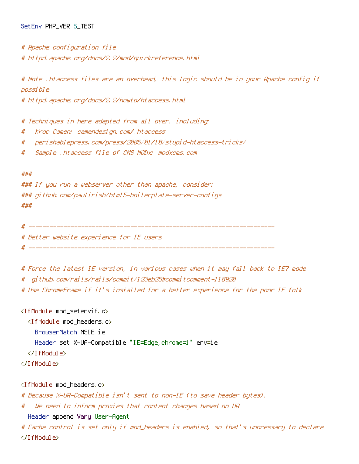## SetEnv PHP\_VER 5\_TEST

- # Apache configuration file
- # httpd.apache.org/docs/2.2/mod/quickreference.html

# Note .htaccess files are an overhead, this logic should be in your Apache config if possible

# httpd.apache.org/docs/2.2/howto/htaccess.html

# Techniques in here adapted from all over, including:

- # Kroc Camen: camendesign.com/.htaccess
- # perishablepress.com/press/2006/01/10/stupid-htaccess-tricks/
- # Sample .htaccess file of CMS MODx: modxcms.com

#### ###

```
### If you run a webserver other than apache, consider:
### github.com/paulirish/html5-boilerplate-server-configs
###
```

```
# ----------------------------------------------------------------------
```
# Better website experience for IE users

# ----------------------------------------------------------------------

```
# Force the latest IE version, in various cases when it may fall back to IE7 mode
# github.com/rails/rails/commit/123eb25#commitcomment-118920
```
# Use ChromeFrame if it's installed for <sup>a</sup> better experience for the poor IE folk

<IfModule mod\_setenvif.c>

<IfModule mod\_headers.c>

BrowserMatch MSIE ie

Header set X-UA-Compatible "IE=Edge,chrome=1" env=ie

- </IfModule>
- </IfModule>

<IfModule mod\_headers.c>

# Because X-UA-Compatible isn't sent to non-IE (to save header bytes),

# We need to inform proxies that content changes based on UA

Header append Vary User-Agent

# Cache control is set only if mod\_headers is enabled, so that's unncessary to declare </IfModule>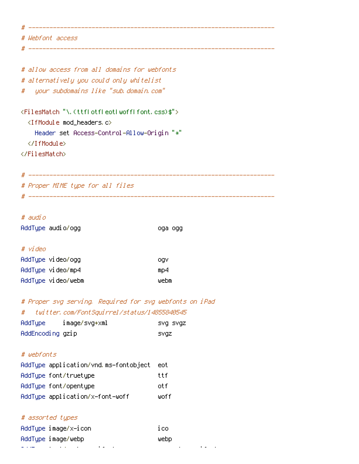# ---------------------------------------------------------------------- # Webfont access

# ----------------------------------------------------------------------

# allow access from all domains for webfonts # alternatively you could only whitelist # your subdomains like "sub.domain.com"

```
<FilesMatch "\.(ttf|otf|eot|woff|font.css)$">
  <IfModule mod_headers.c>
    Header set Access-Control-Allow-Origin "*"
  </IfModule>
</FilesMatch>
```

```
# ----------------------------------------------------------------------
# Proper MIME type for all files
# ----------------------------------------------------------------------
```
# # audio

AddType audio/ogg oga ogg

## # video

| AddType video/ogg  | .ogv |
|--------------------|------|
| AddType video/mp4  | mD4  |
| AddType video/webm | webm |

# # Proper svg serving. Required for svg webfonts on iPad # twitter.com/FontSquirrel/status/14855840545

| AddType          | image/svg+xml | SVQ SVQZ |
|------------------|---------------|----------|
| AddEncoding gzip |               | svqz     |

# # webfonts

| AddTupe application/vnd.ms-fontobject | eot. |
|---------------------------------------|------|
| AddTupe font/truetupe                 | ttf  |
| AddType font/opentype                 | nt f |
| AddType application/x-font-woff       | ⊎off |

## # assorted types

| AddType image/x-icon |                                                                                                                 |  |  | i col |  |  |
|----------------------|-----------------------------------------------------------------------------------------------------------------|--|--|-------|--|--|
| AddType image/webp   |                                                                                                                 |  |  | webo  |  |  |
|                      | the contract of the contract of the contract of the contract of the contract of the contract of the contract of |  |  |       |  |  |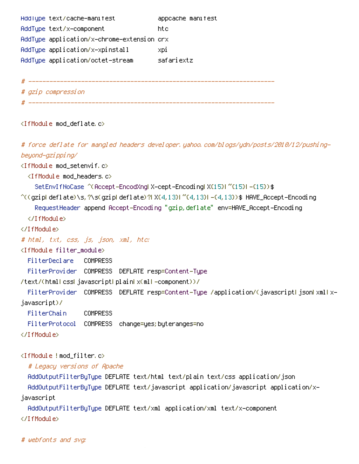AddType text/cache-manifest appcache manifest AddType text/x-component htc AddType application/x-chrome-extension crx AddType application/x-xpinstall xpi AddType application/octet-stream safariextz

# ----------------------------------------------------------------------

# gzip compression # ----------------------------------------------------------------------

<IfModule mod\_deflate.c>

# force deflate for mangled headers developer.yahoo.com/blogs/ydn/posts/2010/12/pushingbeyond-gzipping/

<IfModule mod\_setenvif.c>

<IfModule mod\_headers.c>

SetEnvIfNoCase ^(Accept-EncodXng|X-cept-Encoding|X{15}|~{15}|-{15})\$

 $^{\sim}$ ((gziplideflate)\s,?\s(gziplideflate)?|X{4,13}|~{4,13}|-{4,13})\$ HAVE\_Accept-Encoding RequestHeader append Accept-Encoding "gzip,deflate" env=HAVE\_Accept-Encoding </IfModule>

</IfModule>

# html, txt, css, js, json, xml, htc:

<IfModule filter\_module>

FilterDeclare COMPRESS

FilterProvider COMPRESS DEFLATE resp=Content-Type

/text/(html|css|javascript|plain|x(ml|-component))/

FilterProvider COMPRESS DEFLATE resp=Content-Type /application/(javascript|json|xml|xjavascript)/

FilterChain COMPRESS

FilterProtocol COMPRESS change=yes;byteranges=no

</IfModule>

<IfModule !mod\_filter.c>

# Legacy versions of Apache

AddOutputFilterByType DEFLATE text/html text/plain text/css application/json AddOutputFilterByType DEFLATE text/javascript application/javascript application/xjavascript

AddOutputFilterByType DEFLATE text/xml application/xml text/x-component

</IfModule>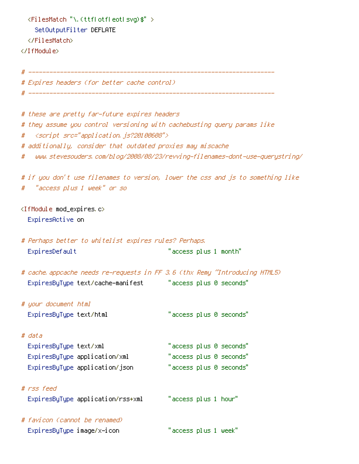```
<FilesMatch "\.(ttf|otf|eot|svg)$" >
    SetOutputFilter DEFLATE
 </FilesMatch>
</IfModule>
                                          # ----------------------------------------------------------------------
# Expires headers (for better cache control)
# ----------------------------------------------------------------------
# these are pretty far-future expires headers
# they assume you control versioning with cachebusting query params like
# <script src="application.js?20100608">
# additionally, consider that outdated proxies may miscache
# www.stevesouders.com/blog/2008/08/23/revving-filenames-dont-use-querystring/
# if you don't use filenames to version, lower the css and js to something like
# "access plus 1 week" or so
<IfModule mod_expires.c>
 ExpiresActive on
# Perhaps better to whitelist expires rules? Perhaps.
 ExpiresDefault "access plus 1 month"
# cache.appcache needs re-requests in FF 3.6 (thx Remy ~Introducing HTML5)
 ExpiresByType text/cache-manifest "access plus 0 seconds"
# your document html
 ExpiresByType text/html "access plus 0 seconds"
# data
 ExpiresByType text/xml "access plus 0 seconds"
 ExpiresByType application/xml "access plus 0 seconds"
 ExpiresByType application/json "access plus 0 seconds"
# rss feed
 ExpiresByType application/rss+xml "access plus 1 hour"
# favicon (cannot be renamed)
 ExpiresByType image/x-icon "access plus 1 week"
```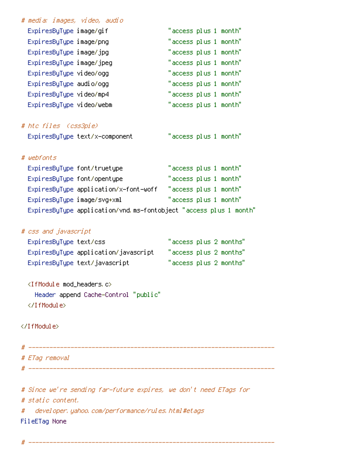| # media: images, video, audio                                     |                        |
|-------------------------------------------------------------------|------------------------|
| ExpiresByType image/gif                                           | "access plus 1 month"  |
| ExpiresByType image/png                                           | "access plus 1 month"  |
| ExpiresByType image/jpg                                           | "access plus 1 month"  |
| ExpiresByType image/jpeg                                          | "access plus 1 month"  |
| ExpiresByType video/ogg                                           | "access plus 1 month"  |
| ExpiresByType audio/ogg                                           | "access plus 1 month"  |
| ExpiresByType video/mp4                                           | "access plus 1 month"  |
| ExpiresByType video/webm                                          | "access plus 1 month"  |
| # htc files (css3pie)                                             |                        |
| ExpiresByType text/x-component                                    | "access plus 1 month"  |
|                                                                   |                        |
| # webfonts                                                        |                        |
| ExpiresByType font/truetype                                       | "access plus 1 month"  |
| ExpiresByType font/opentype                                       | "access plus 1 month"  |
| ExpiresByType application/x-font-woff                             | "access plus 1 month"  |
| ExpiresByType image/svg+xml                                       | "access plus 1 month"  |
| ExpiresByType application/vnd.ms-fontobject "access plus 1 month" |                        |
|                                                                   |                        |
| # css and javascript                                              |                        |
| ExpiresByType text/css                                            | "access plus 2 months" |
| ExpiresByType application/javascript                              | "access plus 2 months" |
| ExpiresByType text/javascript                                     | "access plus 2 months" |
| <ifmodule mod_headers.c=""></ifmodule>                            |                        |
| Header append Cache-Control "public"                              |                        |
|                                                                   |                        |
|                                                                   |                        |
|                                                                   |                        |
|                                                                   |                        |
|                                                                   |                        |
| # ETag removal                                                    |                        |
|                                                                   |                        |
| # Since we're sending far-future expires, we don't need ETags for |                        |
| # static content.                                                 |                        |
| developer, yahoo, com/performance/rules, html#etags<br>#          |                        |

- FileETag None
- # ----------------------------------------------------------------------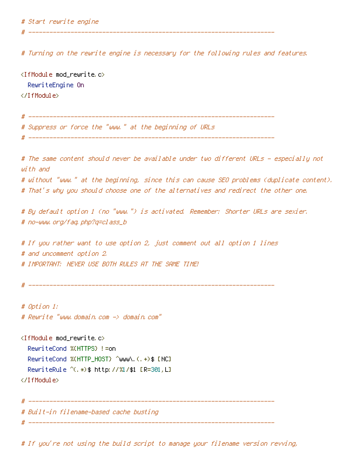# Start rewrite engine

# Turning on the rewrite engine is necessary for the following rules and features.

# ----------------------------------------------------------------------

# ----------------------------------------------------------------------

<IfModule mod\_rewrite.c> RewriteEngine On </IfModule>

# Suppress or force the "www." at the beginning of URLs # ---------------------------------------------------------------------- # The same content should never be available under two different URLs - especially not with and # without "www." at the beginning, since this can cause SEO problems (duplicate content). # That's why you should choose one of the alternatives and redirect the other one. # By default option 1 (no "www.") is activated. Remember: Shorter URLs are sexier. # no-www.org/faq.php?q=class\_b # If you rather want to use option 2, just comment out all option 1 lines # and uncomment option 2. # IMPORTANT: NEVER USE BOTH RULES AT THE SAME TIME! # ---------------------------------------------------------------------- # Option 1: # Rewrite "www.domain.com -> domain.com" <IfModule mod\_rewrite.c> RewriteCond %{HTTPS} !=on RewriteCond %{HTTP\_HOST} ^www\.(.+)\$ [NC] RewriteRule ^(.\*)\$ http://%1/\$1 [R=301,L] </IfModule> # ---------------------------------------------------------------------- # Built-in filename-based cache busting # ----------------------------------------------------------------------

# If you're not using the build script to manage your filename version revving,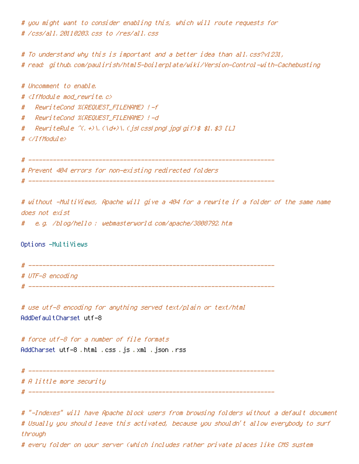# you might want to consider enabling this, which will route requests for # /css/all.20110203.css to /res/all.css

# To understand why this is important and <sup>a</sup> better idea than all.css?v1231, # read: github.com/paulirish/html5-boilerplate/wiki/Version-Control-with-Cachebusting

# Uncomment to enable. # <IfModule mod\_rewrite.c> # RewriteCond %{REQUEST\_FILENAME} !-f # RewriteCond %{REQUEST\_FILENAME} !-d # RewriteRule  $\hat{ }$  (.+)\.(\d+)\.(js|css|png|jpg|gif)\$ \$1.\$3 [L] # </IfModule> # ---------------------------------------------------------------------- # Prevent 404 errors for non-existing redirected folders

# ----------------------------------------------------------------------

# without -MultiViews, Apache will give <sup>a</sup> 404 for <sup>a</sup> rewrite if <sup>a</sup> folder of the same name does not exist

# e.g. /blog/hello : webmasterworld.com/apache/3808792.htm

Options -MultiViews

# ---------------------------------------------------------------------- # UTF-8 encoding

# ----------------------------------------------------------------------

# use utf-8 encoding for anything served text/plain or text/html AddDefaultCharset utf-8

# force utf-8 for <sup>a</sup> number of file formats AddCharset utf-8 .html .css .js .xml .json .rss

# ----------------------------------------------------------------------

# A little more security

# ----------------------------------------------------------------------

# "-Indexes" will have Apache block users from browsing folders without <sup>a</sup> default document # Usually you should leave this activated, because you shouldn't allow everybody to surf through

# every folder on your server (which includes rather private places like CMS system